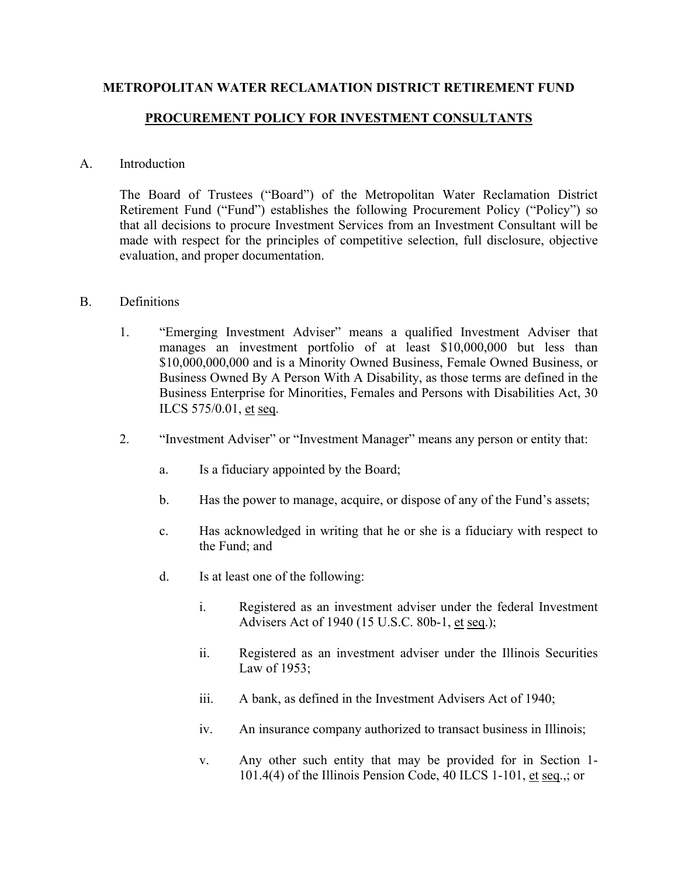## **METROPOLITAN WATER RECLAMATION DISTRICT RETIREMENT FUND**

## **PROCUREMENT POLICY FOR INVESTMENT CONSULTANTS**

## A. Introduction

The Board of Trustees ("Board") of the Metropolitan Water Reclamation District Retirement Fund ("Fund") establishes the following Procurement Policy ("Policy") so that all decisions to procure Investment Services from an Investment Consultant will be made with respect for the principles of competitive selection, full disclosure, objective evaluation, and proper documentation.

## B. Definitions

- 1. "Emerging Investment Adviser" means a qualified Investment Adviser that manages an investment portfolio of at least \$10,000,000 but less than \$10,000,000,000 and is a Minority Owned Business, Female Owned Business, or Business Owned By A Person With A Disability, as those terms are defined in the Business Enterprise for Minorities, Females and Persons with Disabilities Act, 30 ILCS 575/0.01, et seq.
- 2. "Investment Adviser" or "Investment Manager" means any person or entity that:
	- a. Is a fiduciary appointed by the Board;
	- b. Has the power to manage, acquire, or dispose of any of the Fund's assets;
	- c. Has acknowledged in writing that he or she is a fiduciary with respect to the Fund; and
	- d. Is at least one of the following:
		- i. Registered as an investment adviser under the federal Investment Advisers Act of 1940 (15 U.S.C. 80b-1, et seq.);
		- ii. Registered as an investment adviser under the Illinois Securities Law of 1953;
		- iii. A bank, as defined in the Investment Advisers Act of 1940;
		- iv. An insurance company authorized to transact business in Illinois;
		- v. Any other such entity that may be provided for in Section 1- 101.4(4) of the Illinois Pension Code, 40 ILCS 1-101, et seq.,; or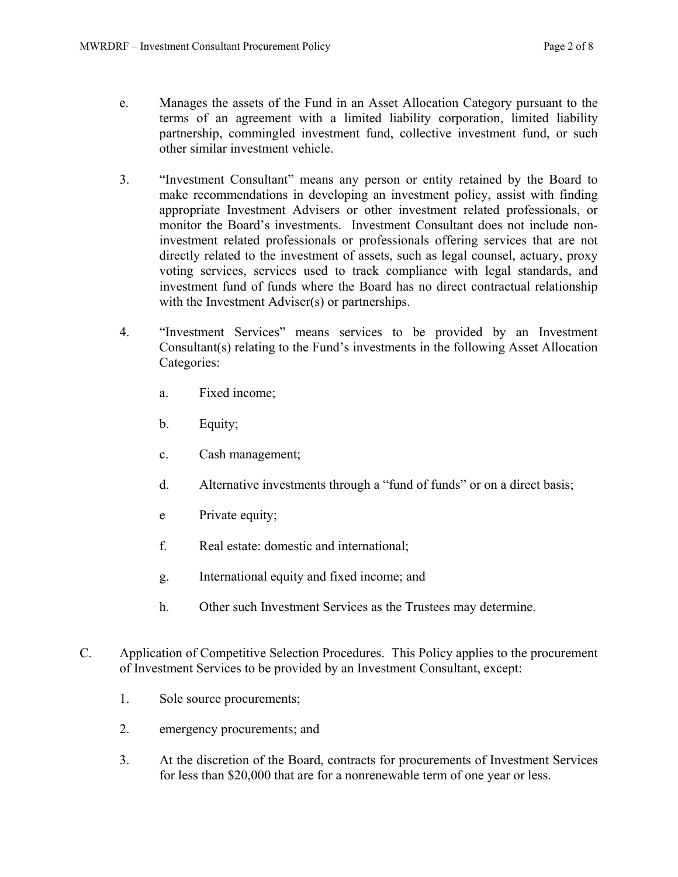- e. Manages the assets of the Fund in an Asset Allocation Category pursuant to the terms of an agreement with a limited liability corporation, limited liability partnership, commingled investment fund, collective investment fund, or such other similar investment vehicle.
- 3. "Investment Consultant" means any person or entity retained by the Board to make recommendations in developing an investment policy, assist with finding appropriate Investment Advisers or other investment related professionals, or monitor the Board's investments. Investment Consultant does not include noninvestment related professionals or professionals offering services that are not directly related to the investment of assets, such as legal counsel, actuary, proxy voting services, services used to track compliance with legal standards, and investment fund of funds where the Board has no direct contractual relationship with the Investment Adviser(s) or partnerships.
- 4. "Investment Services" means services to be provided by an Investment Consultant(s) relating to the Fund's investments in the following Asset Allocation Categories:
	- a. Fixed income;
	- b. Equity;
	- c. Cash management;
	- d. Alternative investments through a "fund of funds" or on a direct basis;
	- e Private equity;
	- f. Real estate: domestic and international;
	- g. International equity and fixed income; and
	- h. Other such Investment Services as the Trustees may determine.
- C. Application of Competitive Selection Procedures. This Policy applies to the procurement of Investment Services to be provided by an Investment Consultant, except:
	- 1. Sole source procurements;
	- 2. emergency procurements; and
	- 3. At the discretion of the Board, contracts for procurements of Investment Services for less than \$20,000 that are for a nonrenewable term of one year or less.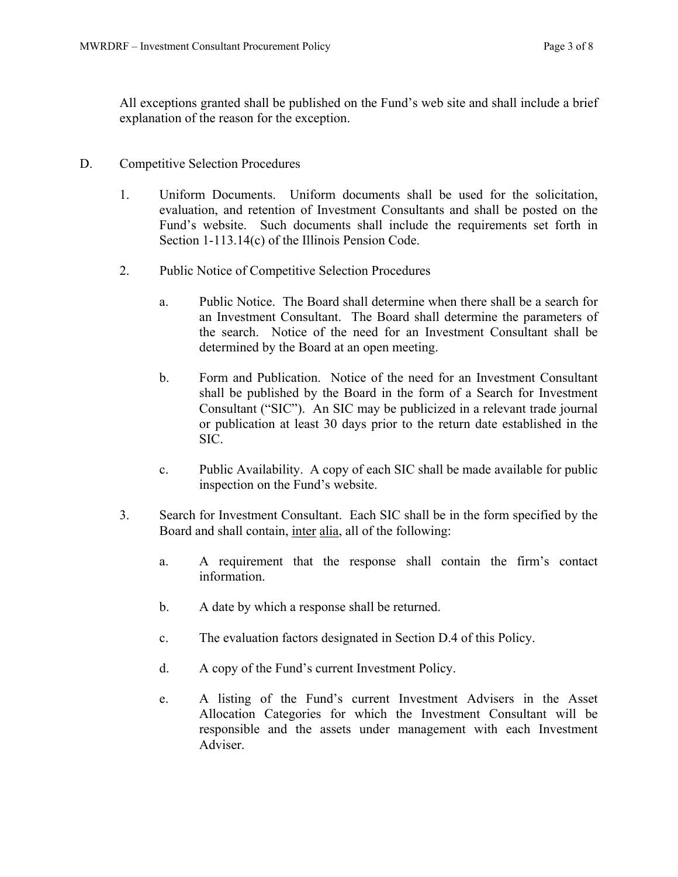All exceptions granted shall be published on the Fund's web site and shall include a brief explanation of the reason for the exception.

- D. Competitive Selection Procedures
	- 1. Uniform Documents. Uniform documents shall be used for the solicitation, evaluation, and retention of Investment Consultants and shall be posted on the Fund's website. Such documents shall include the requirements set forth in Section 1-113.14(c) of the Illinois Pension Code.
	- 2. Public Notice of Competitive Selection Procedures
		- a. Public Notice. The Board shall determine when there shall be a search for an Investment Consultant. The Board shall determine the parameters of the search. Notice of the need for an Investment Consultant shall be determined by the Board at an open meeting.
		- b. Form and Publication. Notice of the need for an Investment Consultant shall be published by the Board in the form of a Search for Investment Consultant ("SIC"). An SIC may be publicized in a relevant trade journal or publication at least 30 days prior to the return date established in the SIC.
		- c. Public Availability. A copy of each SIC shall be made available for public inspection on the Fund's website.
	- 3. Search for Investment Consultant. Each SIC shall be in the form specified by the Board and shall contain, inter alia, all of the following:
		- a. A requirement that the response shall contain the firm's contact information.
		- b. A date by which a response shall be returned.
		- c. The evaluation factors designated in Section D.4 of this Policy.
		- d. A copy of the Fund's current Investment Policy.
		- e. A listing of the Fund's current Investment Advisers in the Asset Allocation Categories for which the Investment Consultant will be responsible and the assets under management with each Investment Adviser.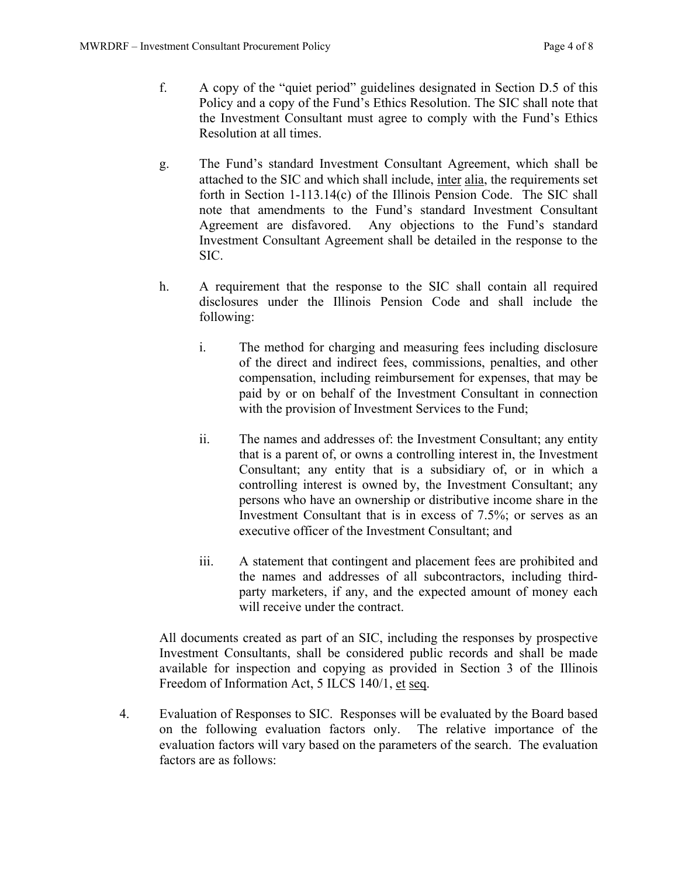- f. A copy of the "quiet period" guidelines designated in Section D.5 of this Policy and a copy of the Fund's Ethics Resolution. The SIC shall note that the Investment Consultant must agree to comply with the Fund's Ethics Resolution at all times.
- g. The Fund's standard Investment Consultant Agreement, which shall be attached to the SIC and which shall include, inter alia, the requirements set forth in Section 1-113.14(c) of the Illinois Pension Code. The SIC shall note that amendments to the Fund's standard Investment Consultant Agreement are disfavored. Any objections to the Fund's standard Investment Consultant Agreement shall be detailed in the response to the SIC.
- h. A requirement that the response to the SIC shall contain all required disclosures under the Illinois Pension Code and shall include the following:
	- i. The method for charging and measuring fees including disclosure of the direct and indirect fees, commissions, penalties, and other compensation, including reimbursement for expenses, that may be paid by or on behalf of the Investment Consultant in connection with the provision of Investment Services to the Fund;
	- ii. The names and addresses of: the Investment Consultant; any entity that is a parent of, or owns a controlling interest in, the Investment Consultant; any entity that is a subsidiary of, or in which a controlling interest is owned by, the Investment Consultant; any persons who have an ownership or distributive income share in the Investment Consultant that is in excess of 7.5%; or serves as an executive officer of the Investment Consultant; and
	- iii. A statement that contingent and placement fees are prohibited and the names and addresses of all subcontractors, including thirdparty marketers, if any, and the expected amount of money each will receive under the contract.

All documents created as part of an SIC, including the responses by prospective Investment Consultants, shall be considered public records and shall be made available for inspection and copying as provided in Section 3 of the Illinois Freedom of Information Act, 5 ILCS 140/1, et seq.

4. Evaluation of Responses to SIC. Responses will be evaluated by the Board based on the following evaluation factors only. The relative importance of the evaluation factors will vary based on the parameters of the search. The evaluation factors are as follows: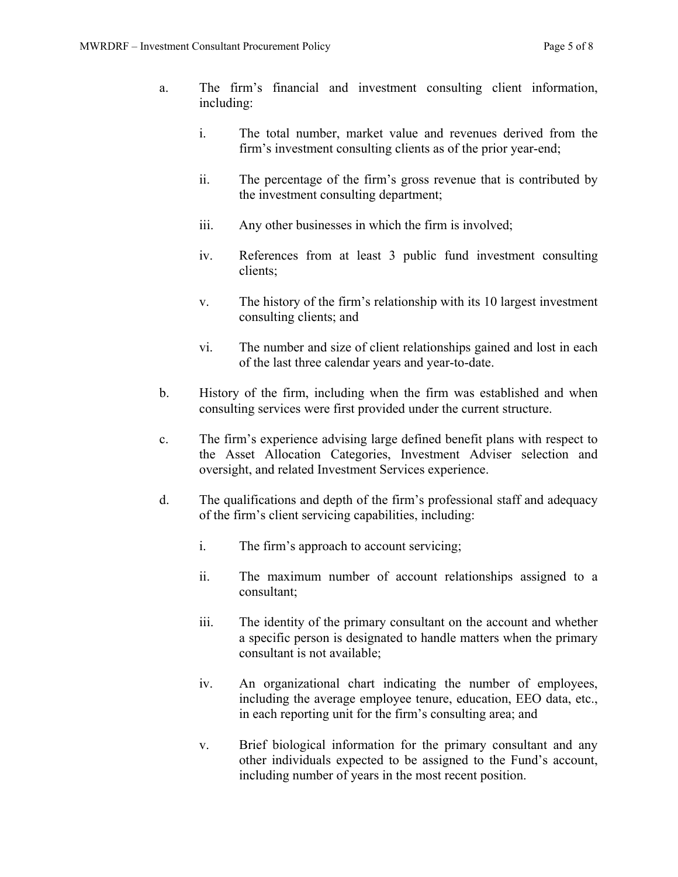- a. The firm's financial and investment consulting client information, including:
	- i. The total number, market value and revenues derived from the firm's investment consulting clients as of the prior year-end;
	- ii. The percentage of the firm's gross revenue that is contributed by the investment consulting department;
	- iii. Any other businesses in which the firm is involved;
	- iv. References from at least 3 public fund investment consulting clients;
	- v. The history of the firm's relationship with its 10 largest investment consulting clients; and
	- vi. The number and size of client relationships gained and lost in each of the last three calendar years and year-to-date.
- b. History of the firm, including when the firm was established and when consulting services were first provided under the current structure.
- c. The firm's experience advising large defined benefit plans with respect to the Asset Allocation Categories, Investment Adviser selection and oversight, and related Investment Services experience.
- d. The qualifications and depth of the firm's professional staff and adequacy of the firm's client servicing capabilities, including:
	- i. The firm's approach to account servicing;
	- ii. The maximum number of account relationships assigned to a consultant;
	- iii. The identity of the primary consultant on the account and whether a specific person is designated to handle matters when the primary consultant is not available;
	- iv. An organizational chart indicating the number of employees, including the average employee tenure, education, EEO data, etc., in each reporting unit for the firm's consulting area; and
	- v. Brief biological information for the primary consultant and any other individuals expected to be assigned to the Fund's account, including number of years in the most recent position.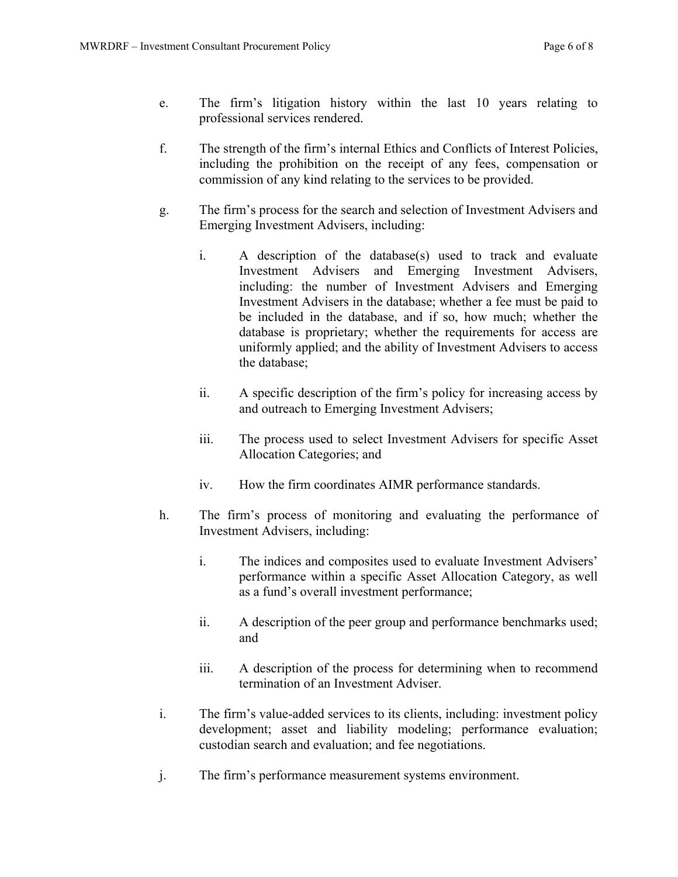- e. The firm's litigation history within the last 10 years relating to professional services rendered.
- f. The strength of the firm's internal Ethics and Conflicts of Interest Policies, including the prohibition on the receipt of any fees, compensation or commission of any kind relating to the services to be provided.
- g. The firm's process for the search and selection of Investment Advisers and Emerging Investment Advisers, including:
	- i. A description of the database(s) used to track and evaluate Investment Advisers and Emerging Investment Advisers, including: the number of Investment Advisers and Emerging Investment Advisers in the database; whether a fee must be paid to be included in the database, and if so, how much; whether the database is proprietary; whether the requirements for access are uniformly applied; and the ability of Investment Advisers to access the database;
	- ii. A specific description of the firm's policy for increasing access by and outreach to Emerging Investment Advisers;
	- iii. The process used to select Investment Advisers for specific Asset Allocation Categories; and
	- iv. How the firm coordinates AIMR performance standards.
- h. The firm's process of monitoring and evaluating the performance of Investment Advisers, including:
	- i. The indices and composites used to evaluate Investment Advisers' performance within a specific Asset Allocation Category, as well as a fund's overall investment performance;
	- ii. A description of the peer group and performance benchmarks used; and
	- iii. A description of the process for determining when to recommend termination of an Investment Adviser.
- i. The firm's value-added services to its clients, including: investment policy development; asset and liability modeling; performance evaluation; custodian search and evaluation; and fee negotiations.
- j. The firm's performance measurement systems environment.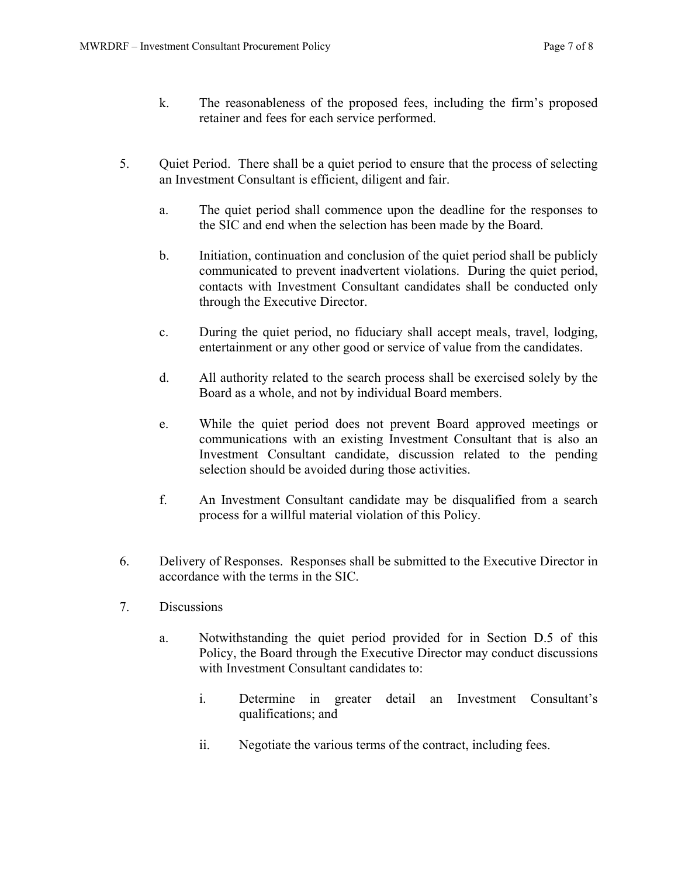- k. The reasonableness of the proposed fees, including the firm's proposed retainer and fees for each service performed.
- 5. Quiet Period. There shall be a quiet period to ensure that the process of selecting an Investment Consultant is efficient, diligent and fair.
	- a. The quiet period shall commence upon the deadline for the responses to the SIC and end when the selection has been made by the Board.
	- b. Initiation, continuation and conclusion of the quiet period shall be publicly communicated to prevent inadvertent violations. During the quiet period, contacts with Investment Consultant candidates shall be conducted only through the Executive Director.
	- c. During the quiet period, no fiduciary shall accept meals, travel, lodging, entertainment or any other good or service of value from the candidates.
	- d. All authority related to the search process shall be exercised solely by the Board as a whole, and not by individual Board members.
	- e. While the quiet period does not prevent Board approved meetings or communications with an existing Investment Consultant that is also an Investment Consultant candidate, discussion related to the pending selection should be avoided during those activities.
	- f. An Investment Consultant candidate may be disqualified from a search process for a willful material violation of this Policy.
- 6. Delivery of Responses. Responses shall be submitted to the Executive Director in accordance with the terms in the SIC.
- 7. Discussions
	- a. Notwithstanding the quiet period provided for in Section D.5 of this Policy, the Board through the Executive Director may conduct discussions with Investment Consultant candidates to:
		- i. Determine in greater detail an Investment Consultant's qualifications; and
		- ii. Negotiate the various terms of the contract, including fees.